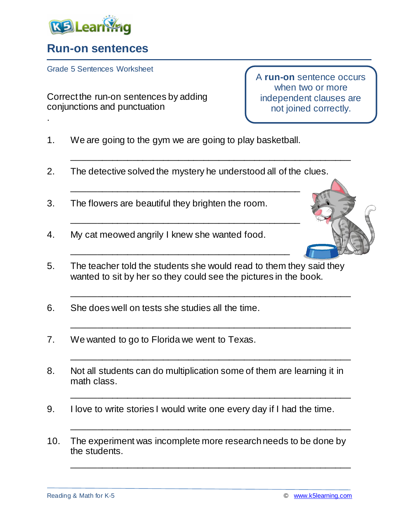

.

## **Run-on sentences**

Grade 5 Sentences Worksheet

Correct the run-on sentences by adding conjunctions and punctuation

A **run-on** sentence occurs when two or more independent clauses are not joined correctly.

- 1. We are going to the gym we are going to play basketball.
- 2. The detective solved the mystery he understood all of the clues.

\_\_\_\_\_\_\_\_\_\_\_\_\_\_\_\_\_\_\_\_\_\_\_\_\_\_\_\_\_\_\_\_\_\_\_\_\_\_\_\_\_\_\_\_\_

\_\_\_\_\_\_\_\_\_\_\_\_\_\_\_\_\_\_\_\_\_\_\_\_\_\_\_\_\_\_\_\_\_\_\_\_\_\_\_\_\_\_\_\_\_

\_\_\_\_\_\_\_\_\_\_\_\_\_\_\_\_\_\_\_\_\_\_\_\_\_\_\_\_\_\_\_\_\_\_\_\_\_\_\_\_\_\_\_

\_\_\_\_\_\_\_\_\_\_\_\_\_\_\_\_\_\_\_\_\_\_\_\_\_\_\_\_\_\_\_\_\_\_\_\_\_\_\_\_\_\_\_\_\_\_\_\_\_\_\_\_\_\_\_

- 3. The flowers are beautiful they brighten the room.
- 4. My cat meowed angrily I knew she wanted food.
- 5. The teacher told the students she would read to them they said they wanted to sit by her so they could see the pictures in the book.

\_\_\_\_\_\_\_\_\_\_\_\_\_\_\_\_\_\_\_\_\_\_\_\_\_\_\_\_\_\_\_\_\_\_\_\_\_\_\_\_\_\_\_\_\_\_\_\_\_\_\_\_\_\_\_

\_\_\_\_\_\_\_\_\_\_\_\_\_\_\_\_\_\_\_\_\_\_\_\_\_\_\_\_\_\_\_\_\_\_\_\_\_\_\_\_\_\_\_\_\_\_\_\_\_\_\_\_\_\_\_

\_\_\_\_\_\_\_\_\_\_\_\_\_\_\_\_\_\_\_\_\_\_\_\_\_\_\_\_\_\_\_\_\_\_\_\_\_\_\_\_\_\_\_\_\_\_\_\_\_\_\_\_\_\_\_

\_\_\_\_\_\_\_\_\_\_\_\_\_\_\_\_\_\_\_\_\_\_\_\_\_\_\_\_\_\_\_\_\_\_\_\_\_\_\_\_\_\_\_\_\_\_\_\_\_\_\_\_\_\_\_

\_\_\_\_\_\_\_\_\_\_\_\_\_\_\_\_\_\_\_\_\_\_\_\_\_\_\_\_\_\_\_\_\_\_\_\_\_\_\_\_\_\_\_\_\_\_\_\_\_\_\_\_\_\_\_

\_\_\_\_\_\_\_\_\_\_\_\_\_\_\_\_\_\_\_\_\_\_\_\_\_\_\_\_\_\_\_\_\_\_\_\_\_\_\_\_\_\_\_\_\_\_\_\_\_\_\_\_\_\_\_

- 6. She does well on tests she studies all the time.
- 7. We wanted to go to Florida we went to Texas.
- 8. Not all students can do multiplication some of them are learning it in math class.
- 9. I love to write stories I would write one every day if I had the time.
- 10. The experiment was incomplete more research needs to be done by the students.